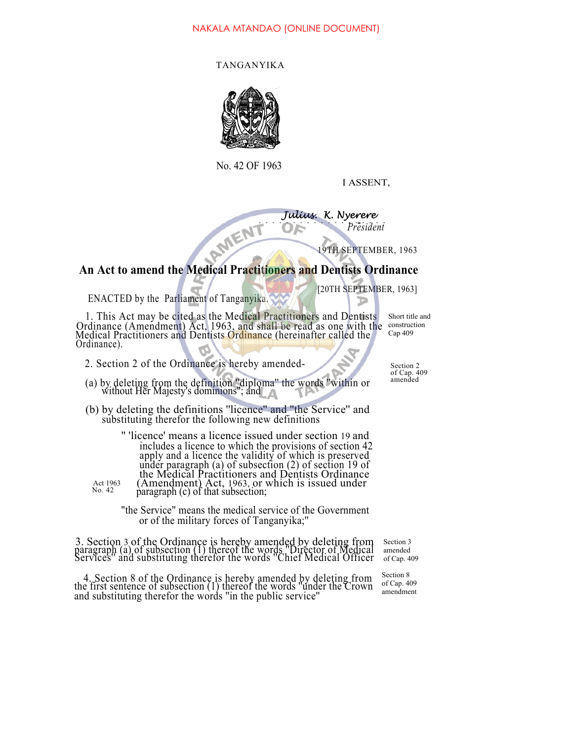## NAKALA MTANDAO (ONLINE DOCUMENT)

## TANGANYIKA



No. 42 OF 1963

I ASSENT,

 $\frac{r}{e}$ *Julius. K. Nyerere* AMENT *President*

9TH SEPTEMBER, 1963

## **An Act to amend the Medical Practitioners and Dentists Ordinance**

[20TH SEPTEMBER, 1963]

ENACTED by the Parliament of Tanganyika.

No. 42

1. This Act may be cited as the Medical Practitioners and Dentists Ordinance (Amendment) Act, 1963, and shall be read as one with the Medical Practitioners and Dentists Ordinance (hereinafter called the Ordinance).

Short title and construction Cap 409

- 2. Section 2 of the Ordinance is hereby amended-  $\sim$  Section 2
- (a) by deleting from the definition "diploma" the words "within or without Her Majesty's dominions"; and
- (b) by deleting the definitions ''licence'' and ''the Service'' and substituting therefor the following new definitions

'' 'licence' means a licence issued under section 19 and includes a licence to which the provisions of section 42 apply and a licence the validity of which is preserved under paragraph (a) of subsection (2) of section 19 of the Medical Practitioners and Dentists Ordinance (Amendment) Act, 1963, or which is issued under paragraph (c) of that subsection; Act 1963

> "the Service" means the medical service of the Government or of the military forces of Tanganyika;''

3. Section 3 of the Ordinance is hereby amended by deleting from paragraph (a) of subsection (1) thereof the words ''Director of Medical Services'' and substituting therefor the words ''Chief Medical Officer

4. Section 8 of the Ordinance is hereby amended by deleting from the first sentence of subsection (1) thereof the words ''under the Crown and substituting therefor the words ''in the public service''

of Cap. 409

Section 3 amended of Cap. 409

Section 8 of Cap. 409 amendment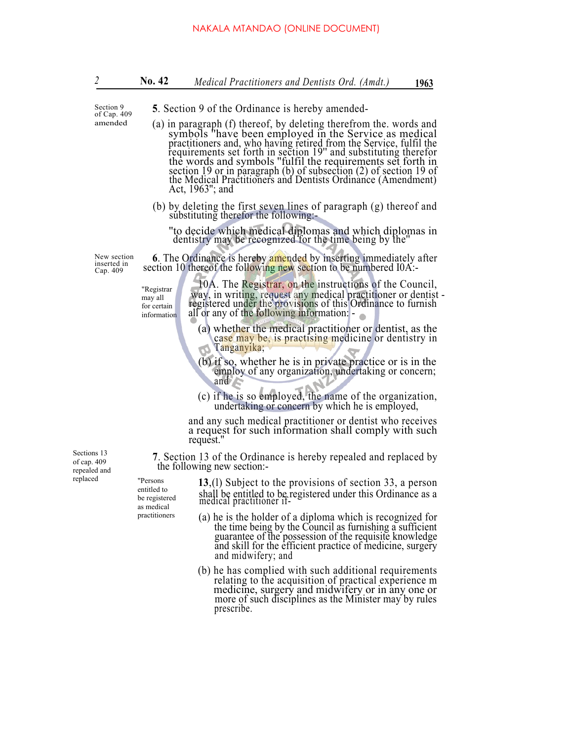|                                                                                     | <b>5.</b> Section 9 of the Ordinance is hereby amended-                                                                                                                                                                                                                                                                                                                                                                                                                                     |
|-------------------------------------------------------------------------------------|---------------------------------------------------------------------------------------------------------------------------------------------------------------------------------------------------------------------------------------------------------------------------------------------------------------------------------------------------------------------------------------------------------------------------------------------------------------------------------------------|
|                                                                                     |                                                                                                                                                                                                                                                                                                                                                                                                                                                                                             |
| amended                                                                             | (a) in paragraph (f) thereof, by deleting therefrom the. words and<br>symbols "have been employed in the Service as medical<br>practitioners and, who having retired from the Service, fulfil the<br>requirements set forth in section 19" and substituting therefor<br>the words and symbols "fulfil the requirements set forth in<br>section 19 or in paragraph (b) of subsection (2) of section 19 of<br>the Medical Practitioners and Dentists Ordinance (Amendment)<br>Act, 1963"; and |
|                                                                                     | (b) by deleting the first seven lines of paragraph (g) thereof and<br>substituting therefor the following:-                                                                                                                                                                                                                                                                                                                                                                                 |
|                                                                                     | "to decide which medical diplomas and which diplomas in<br>dentistry may be recognized for the time being by the"                                                                                                                                                                                                                                                                                                                                                                           |
|                                                                                     | <b>6.</b> The Ordinance is hereby amended by inserting immediately after<br>section 10 thereof the following new section to be numbered IOA:-                                                                                                                                                                                                                                                                                                                                               |
| "Registrar<br>may all<br>for certain<br>information                                 | 10A. The Registrar, on the instructions of the Council,<br>way, in writing, request any medical practitioner or dentist -<br>registered under the provisions of this Ordinance to furnish<br>all or any of the following information:                                                                                                                                                                                                                                                       |
|                                                                                     | (a) whether the medical practitioner or dentist, as the<br>case may be, is practising medicine or dentistry in<br>Tanganyika;                                                                                                                                                                                                                                                                                                                                                               |
|                                                                                     | (b) if so, whether he is in private practice or is in the<br>employ of any organization, undertaking or concern;<br>and                                                                                                                                                                                                                                                                                                                                                                     |
|                                                                                     | (c) if he is so employed, the name of the organization,<br>undertaking or concern by which he is employed,                                                                                                                                                                                                                                                                                                                                                                                  |
|                                                                                     | and any such medical practitioner or dentist who receives<br>a request for such information shall comply with such<br>request."                                                                                                                                                                                                                                                                                                                                                             |
|                                                                                     | 7. Section 13 of the Ordinance is hereby repealed and replaced by<br>the following new section:-                                                                                                                                                                                                                                                                                                                                                                                            |
| replaced<br>"Persons<br>entitled to<br>be registered<br>as medical<br>practitioners | $13$ , (1) Subject to the provisions of section 33, a person<br>shall be entitled to be registered under this Ordinance as a<br>medical practitioner if-                                                                                                                                                                                                                                                                                                                                    |
|                                                                                     | (a) he is the holder of a diploma which is recognized for<br>the time being by the Council as furnishing a sufficient<br>guarantee of the possession of the requisite knowledge<br>and skill for the efficient practice of medicine, surgery<br>and midwifery; and                                                                                                                                                                                                                          |
|                                                                                     | (b) he has complied with such additional requirements<br>relating to the acquisition of practical experience m<br>medicine, surgery and midwifery or in any one or<br>more of such disciplines as the Minister may by rules<br>prescribe.                                                                                                                                                                                                                                                   |
| New section                                                                         |                                                                                                                                                                                                                                                                                                                                                                                                                                                                                             |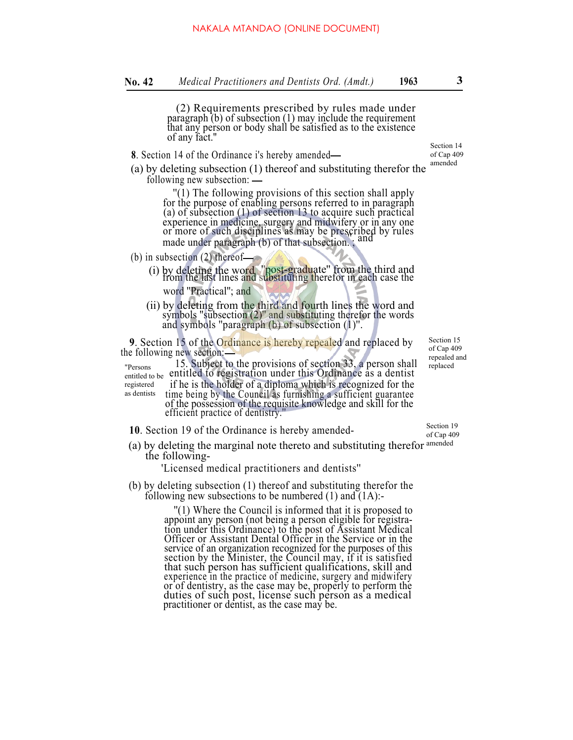(2) Requirements prescribed by rules made under paragraph (b) of subsection (1) may include the requirement that any person or body shall be satisfied as to the existence of any fact.''

- **8**. Section 14 of the Ordinance i's hereby amended
- (a) by deleting subsection (1) thereof and substituting therefor the following new subsection: amended

''(1) The following provisions of this section shall apply for the purpose of enabling persons referred to in paragraph (a) of subsection (1) of section 13 to acquire such practical experience in medicine, surgery and midwifery or in any one or more of such disciplines as may be prescribed by rules made under paragraph (b) of that subsection. ; and

(b) in subsection (2) thereof

- (i) by deleting the word <sup>''</sup>post-graduate'' from the third and from the last lines and substituting therefor in each case the word ''Practical''; and
- (ii) by deleting from the third and fourth lines the word and symbols ''subsection (2)'' and substituting therefor the words and symbols ''paragraph (b) of subsection (1)''.

**9**. Section 15 of the Ordinance is hereby repealed and replaced by the following new section:

15. Subject to the provisions of section 33, a person shall entitled to registration under this Ordinance as a dentist if he is the holder of a diploma which is recognized for the time being by the Council as furnishing a sufficient guarantee of the possession of the requisite knowledge and skill for the efficient practice of dentistry.'' "Persons entitled to be registered as dentists

- **10**. Section 19 of the Ordinance is hereby amended-
- (a) by deleting the marginal note thereto and substituting therefor amended the following-

'Licensed medical practitioners and dentists''

(b) by deleting subsection (1) thereof and substituting therefor the following new subsections to be numbered (1) and (1A):-

''(1) Where the Council is informed that it is proposed to appoint any person (not being a person eligible for registration under this Ordinance) to the post of Assistant Medical Officer or Assistant Dental Officer in the Service or in the service of an organization recognized for the purposes of this section by the Minister, the Council may, if it is satisfied that such person has sufficient qualifications, skill and experience in the practice of medicine, surgery and midwifery or of dentistry, as the case may be, properly to perform the duties of such post, license such person as a medical practitioner or dentist, as the case may be.

Section 15 of Cap 409 repealed and replaced

Section 19 of Cap 409

Section 14

of Cap 409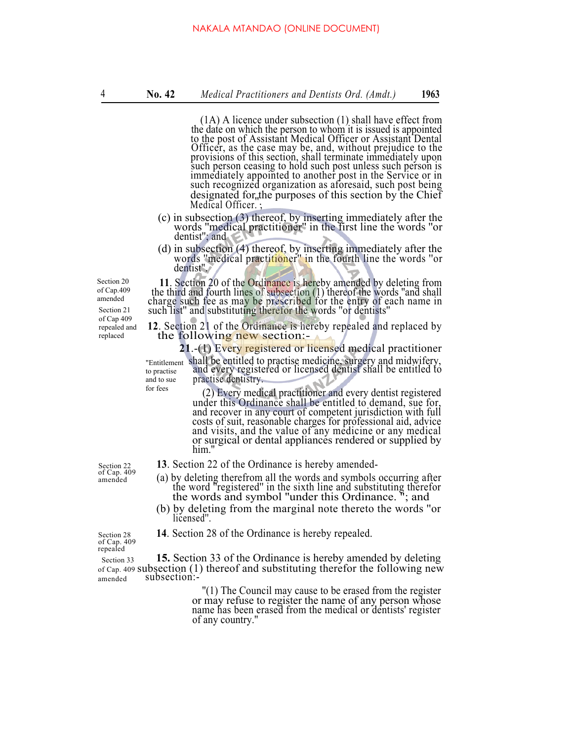(1A) A licence under subsection (1) shall have effect from the date on which the person to whom it is issued is appointed to the post of Assistant Medical Officer or Assistant Dental Officer, as the case may be, and, without prejudice to the provisions of this section, shall terminate immediately upon such person ceasing to hold such post unless such person is immediately appointed to another post in the Service or in such recognized organization as aforesaid, such post being designated for the purposes of this section by the Chief Medical Officer.

- (c) in subsection (3) thereof, by inserting immediately after the words ''medical practitioner'' in the first line the words ''or dentist''; and
- (d) in subsection (4) thereof, by inserting immediately after the words ''medical practitioner'' in the fourth line the words ''or dentist''.

Section 20 of Cap.409 amended Section 21 of Cap 409 repealed and replaced

**<sup>11</sup>**. Section 20 of the Ordinance is hereby amended by deleting from the third and fourth lines of subsection (1) thereof the words ''and shall charge such fee as may be prescribed for the entry of each name in such list" and substituting therefor the words "or dentists"

**12**. Section 21 of the Ordinance is hereby repealed and replaced by the following new section:-

**21**.-(1) Every registered or licensed medical practitioner "Entitlement shall be entitled to practise medicine, surgery and midwifery, to practise and every registered or licensed dentist shall be entitled to practise dentistry. to practise and to sue for fees

(2) Every medical practitioner and every dentist registered under this Ordinance shall be entitled to demand, sue for, and recover in any court of competent jurisdiction with full costs of suit, reasonable charges for professional aid, advice and visits, and the value of any medicine or any medical or surgical or dental appliances rendered or supplied by him."

- Section 22 **13**. Section 22 of the Ordinance is hereby amended-<br>of Cap. 409 (a) by deleting therefrom all the words and symbols  $A<sub>amended</sub>$  (a) by deleting therefrom all the words and symbols occurring after the word "registered" in the sixth line and substituting therefor the words and symbol ''under this Ordinance. "; and
	- (b) by deleting from the marginal note thereto the words ''or licensed''.

Section 28 **14**. Section 28 of the Ordinance is hereby repealed.

of Cap. 409 repealed

Section 33 **15.** Section 33 of the Ordinance is hereby amended by deleting of Cap. 409 subsection (1) thereof and substituting therefor the following new amended subsection:-

> ''(1) The Council may cause to be erased from the register or may refuse to register the name of any person whose name has been erased from the medical or dentists' register of any country.''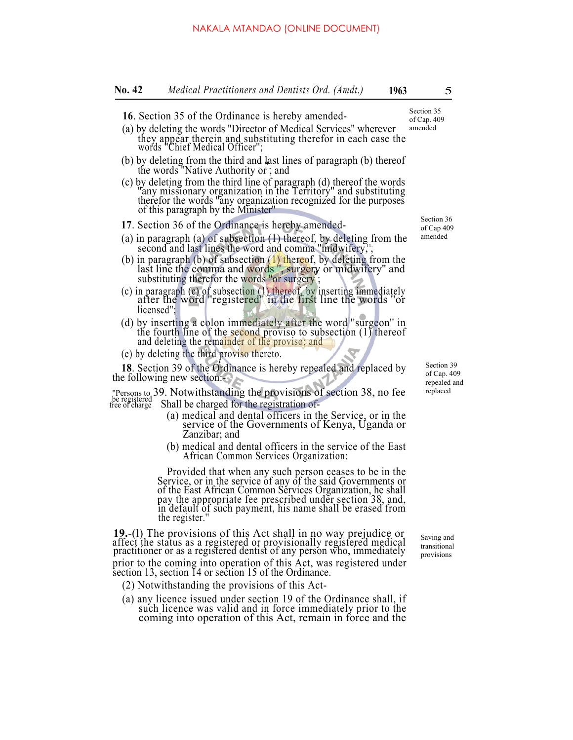- **16**. Section 35 of the Ordinance is hereby amended-
- (a) by deleting the words ''Director of Medical Services'' wherever they appear therein and substituting therefor in each case the words ''Chief Medical Officer''; amended
- (b) by deleting from the third and last lines of paragraph (b) thereof the words "Native Authority or ; and
- (c) by deleting from the third line of paragraph (d) thereof the words "any missionary organization in the Territory" and substituting therefor the words ''any organization recognized for the purposes of this paragraph by the Minister''
- **17**. Section 36 of the Ordinance is hereby amended-
- (a) in paragraph (a) of subsection (1) thereof, by deleting from the second and last lines the word and comma "midwifery,",
- (b) in paragraph (b) of subsection  $(1)$  thereof, by deleting from the last line the comma and words ", surgery or midwifery" and substituting therefor the words "or surgery ;
- (c) in paragraph (c) of subsection (1) thereof, by inserting immediately after the word ''registered'' in the first line the words ''or licensed'';
- (d) by inserting a colon immediately after the word "surgeon" in the fourth line of the second proviso to subsection  $(1)$  thereof and deleting the remainder of the proviso; and
- (e) by deleting the third proviso thereto.

**<sup>18</sup>**. Section 39 of the Ordinance is hereby repealed and replaced by the following new section:-

''Persons to 39. Notwithstanding the provisions of section 38, no fee be registered free of charge Shall be charged for the registration of-

- (a) medical and dental officers in the Service, or in the service of the Governments of Kenya, Uganda or Zanzibar; and
- (b) medical and dental officers in the service of the East African Common Services Organization:

Provided that when any such person ceases to be in the Service, or in the service of any of the said Governments or of the East African Common Services Organization, he shall pay the appropriate fee prescribed under section 38, and, in default of such payment, his name shall be erased from the register.''

**19.**-(l) The provisions of this Act shall in no way prejudice or affect the status as a registered or provisionally registered medical practitioner or as a registered dentist of any person who, immediately prior to the coming into operation of this Act, was registered under section 13, section 14 or section 15 of the Ordinance.

- (2) Notwithstanding the provisions of this Act-
- (a) any licence issued under section 19 of the Ordinance shall, if such licence was valid and in force immediately prior to the coming into operation of this Act, remain in force and the

Saving and transitional provisions

Section 36 of Cap 409 amended

> Section 39 of Cap. 409 repealed and replaced

of Cap. 409